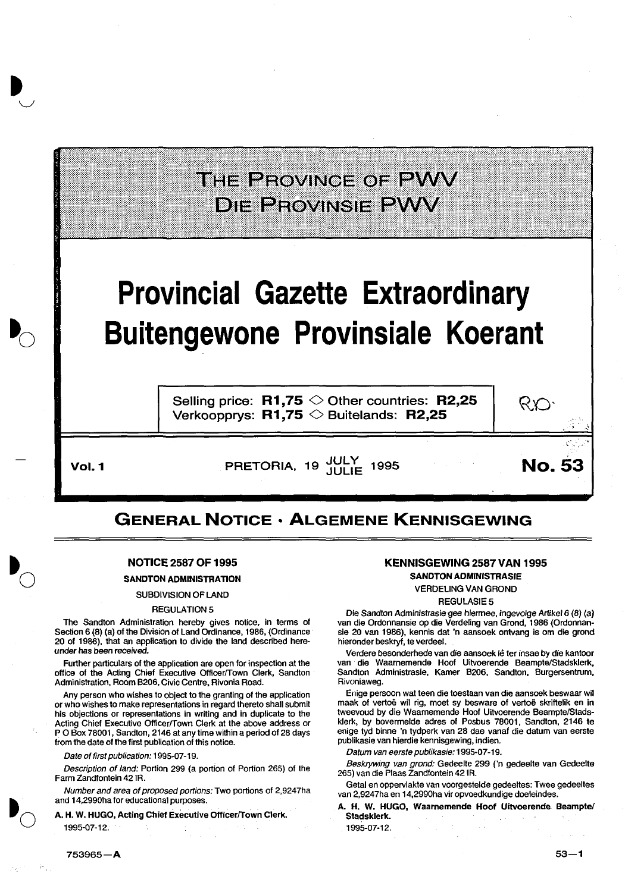## THE PROVINCE OF PWV **DIE PEOVINSIE PWV**

# **Provincial Gazette Extraordinary Buitengewone Provinsiale Koerant**

Selling price:  $R1,75$   $\diamond$  Other countries: R2,25 Verkoopprys:  $R1,75 \diamondsuit$  Buitelands: R2,25

Vol. 1 **Vol. 1** PRETORIA, 19 JULY 1995 **No. 53** 

## GENERAL NOTICE • ALGEMENE KENNISGEWING

#### NOTICE 2587 OF 1995

#### SANDTON ADMINISTRATION

#### SUBDIVISION OF LAND

#### REGULATION 5

The Sandton Administration hereby gives notice, in terms of Section 6 (8) (a) of the Division of Land Ordinance, 1986, (Ordinance 20 of 1986), that an application to divide the land described hereunder has been received.

Further particulars of the application are open for inspection at the office of the Acting Chief Executive OfficerfTown Clerk, Sandton Administration, Room B206, Civic Centre, Rivonia Road.

Any person who wishes to object to the granting of the application or who wishes to make representations in regard thereto shall submit his objections or representations in writing and in duplicate to the Acting Chief Executive Officer/Town Clerk at the above address or P 0 Box 78001, Sandton, 2146 at any time within a period of 28 days from the date of the first publication of this notice.

#### Date of first publication: 1995-07-19.

Description of land: Portion 299 (a portion of Portion 265) of the Farm Zandfontein 42 lA.

Number and area of proposed portions: Two portions of 2,9247ha and 14,2990ha for educational purposes.

A. H. W- HUGO, Acting Chief Executive Officer/Town Clerk. 1995-07-12.

### KENNISGEWING 2587 VAN 1995

RIO:

SANDTON ADMINISTRASIE VERDELING VAN GROND

#### **REGULASIE5**

Die Sandton Administrasie gee hiermee, ingevolge Artikel6 (8) (a) van die Ordonnansie op die Verdeling van Grond, 1986 (Ordonnansie 20 van 1986), kennis dat 'n aansoek ontvang is om die grond hieronder beskryf, te verdeel.

Verdere besonderhede van die aansoek lê ter insae by die kantoor van die Waarnemende Hoof Uitvoerende Beampte/Stadsklerk, Sandton Administrasie, Kamer B206, Sandton, Burgersentrum, Rivoniaweg.

Enige persoon wat teen die toestaan van die aansoek beswaar wil maak of vertoë wil rig, moet sy besware of vertoë skriftelik en in tweevoud by die Waarnemende Hoof Uitvoerende Beampte/Stadsklerk, by bovenmelde adres of Posbus 78001, Sandton, 2146 te enige tyd binne 'n tydperk van 28 dae vanaf die datum van eerste publikasie van hierdie kennisgewing, indien.

Datum van eerste publikasie: 1995-07-19.

Beskrywing van grond: Gedeelte 299 ('n gedeelte van Gedeelte 265) van die Plaas Zandfontein 421R.

Getal en oppervlakte van voorgestelde gedeeltes: Twee gedeeltes van 2,9247ha en 14,2990ha vir opvoedkundige doeleindes.

A. H. W. HUGO, Waarnemende Hoof Uitvoerende Beampte/ Stadsklerk\_

1995-07-12.